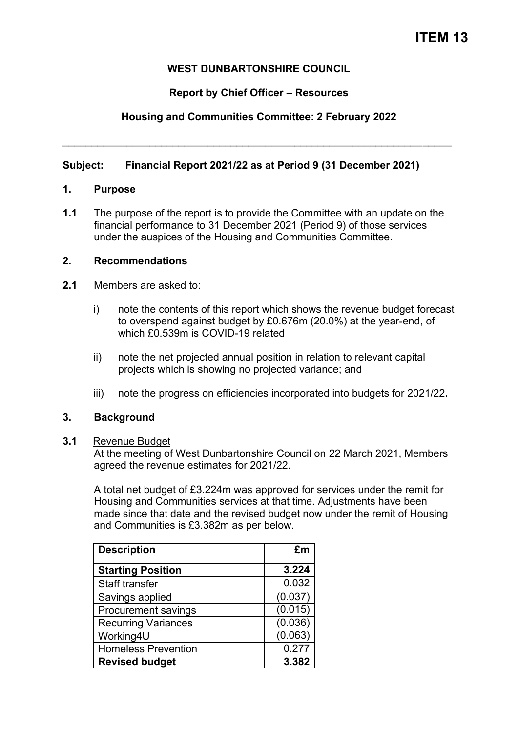### **WEST DUNBARTONSHIRE COUNCIL**

### **Report by Chief Officer – Resources**

### **Housing and Communities Committee: 2 February 2022**

\_\_\_\_\_\_\_\_\_\_\_\_\_\_\_\_\_\_\_\_\_\_\_\_\_\_\_\_\_\_\_\_\_\_\_\_\_\_\_\_\_\_\_\_\_\_\_\_\_\_\_\_\_\_\_\_\_\_\_\_\_\_\_\_\_\_\_

### **Subject: Financial Report 2021/22 as at Period 9 (31 December 2021)**

#### **1. Purpose**

**1.1** The purpose of the report is to provide the Committee with an update on the financial performance to 31 December 2021 (Period 9) of those services under the auspices of the Housing and Communities Committee.

### **2. Recommendations**

- **2.1** Members are asked to:
	- i) note the contents of this report which shows the revenue budget forecast to overspend against budget by £0.676m (20.0%) at the year-end, of which £0.539m is COVID-19 related
	- ii) note the net projected annual position in relation to relevant capital projects which is showing no projected variance; and
	- iii) note the progress on efficiencies incorporated into budgets for 2021/22**.**

#### **3. Background**

#### **3.1** Revenue Budget

At the meeting of West Dunbartonshire Council on 22 March 2021, Members agreed the revenue estimates for 2021/22.

A total net budget of £3.224m was approved for services under the remit for Housing and Communities services at that time. Adjustments have been made since that date and the revised budget now under the remit of Housing and Communities is £3.382m as per below.

| <b>Description</b>         | £m      |
|----------------------------|---------|
| <b>Starting Position</b>   | 3.224   |
| <b>Staff transfer</b>      | 0.032   |
| Savings applied            | (0.037) |
| <b>Procurement savings</b> | (0.015) |
| <b>Recurring Variances</b> | (0.036) |
| Working4U                  | (0.063) |
| <b>Homeless Prevention</b> | 0.277   |
| <b>Revised budget</b>      | 3.382   |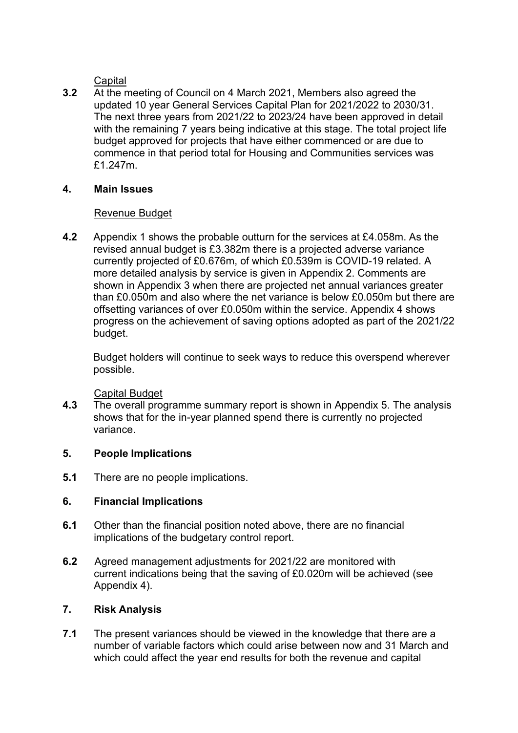**Capital** 

**3.2** At the meeting of Council on 4 March 2021, Members also agreed the updated 10 year General Services Capital Plan for 2021/2022 to 2030/31. The next three years from 2021/22 to 2023/24 have been approved in detail with the remaining 7 years being indicative at this stage. The total project life budget approved for projects that have either commenced or are due to commence in that period total for Housing and Communities services was £1.247m.

### **4. Main Issues**

# Revenue Budget

**4.2** Appendix 1 shows the probable outturn for the services at £4.058m. As the revised annual budget is £3.382m there is a projected adverse variance currently projected of £0.676m, of which £0.539m is COVID-19 related. A more detailed analysis by service is given in Appendix 2. Comments are shown in Appendix 3 when there are projected net annual variances greater than £0.050m and also where the net variance is below £0.050m but there are offsetting variances of over £0.050m within the service. Appendix 4 shows progress on the achievement of saving options adopted as part of the 2021/22 budget.

 Budget holders will continue to seek ways to reduce this overspend wherever possible.

Capital Budget

**4.3** The overall programme summary report is shown in Appendix 5. The analysis shows that for the in-year planned spend there is currently no projected variance.

# **5. People Implications**

**5.1** There are no people implications.

# **6. Financial Implications**

- **6.1** Other than the financial position noted above, there are no financial implications of the budgetary control report.
- **6.2** Agreed management adjustments for 2021/22 are monitored with current indications being that the saving of £0.020m will be achieved (see Appendix 4).

# **7. Risk Analysis**

**7.1** The present variances should be viewed in the knowledge that there are a number of variable factors which could arise between now and 31 March and which could affect the year end results for both the revenue and capital